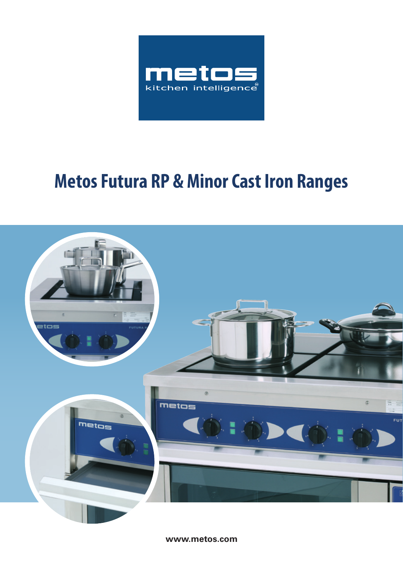

## **Metos Futura RP & Minor Cast Iron Ranges**



**www.metos.com**